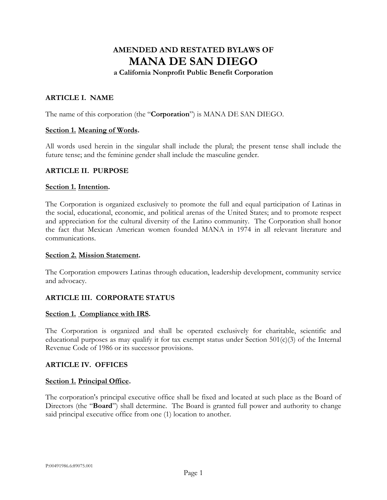# **AMENDED AND RESTATED BYLAWS OF MANA DE SAN DIEGO**

**a California Nonprofit Public Benefit Corporation**

# **ARTICLE I. NAME**

The name of this corporation (the "**Corporation**") is MANA DE SAN DIEGO.

# **Section 1. Meaning of Words.**

All words used herein in the singular shall include the plural; the present tense shall include the future tense; and the feminine gender shall include the masculine gender.

# **ARTICLE II. PURPOSE**

#### **Section 1. Intention.**

The Corporation is organized exclusively to promote the full and equal participation of Latinas in the social, educational, economic, and political arenas of the United States; and to promote respect and appreciation for the cultural diversity of the Latino community. The Corporation shall honor the fact that Mexican American women founded MANA in 1974 in all relevant literature and communications.

#### **Section 2. Mission Statement.**

The Corporation empowers Latinas through education, leadership development, community service and advocacy.

# **ARTICLE III. CORPORATE STATUS**

#### **Section 1. Compliance with IRS.**

The Corporation is organized and shall be operated exclusively for charitable, scientific and educational purposes as may qualify it for tax exempt status under Section  $501(c)(3)$  of the Internal Revenue Code of 1986 or its successor provisions.

# **ARTICLE IV. OFFICES**

#### **Section 1. Principal Office.**

The corporation's principal executive office shall be fixed and located at such place as the Board of Directors (the "**Board**") shall determine. The Board is granted full power and authority to change said principal executive office from one (1) location to another.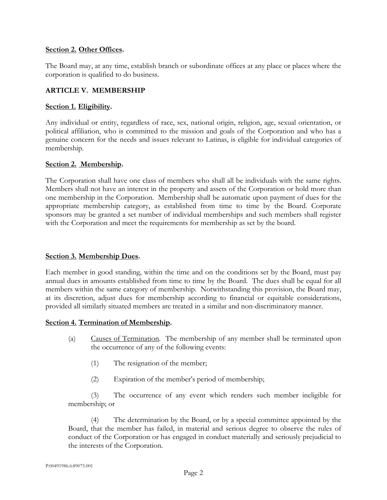# **Section 2. Other Offices.**

The Board may, at any time, establish branch or subordinate offices at any place or places where the corporation is qualified to do business.

# **ARTICLE V. MEMBERSHIP**

# **Section 1. Eligibility.**

Any individual or entity, regardless of race, sex, national origin, religion, age, sexual orientation, or political affiliation, who is committed to the mission and goals of the Corporation and who has a genuine concern for the needs and issues relevant to Latinas, is eligible for individual categories of membership.

# **Section 2. Membership.**

The Corporation shall have one class of members who shall all be individuals with the same rights. Members shall not have an interest in the property and assets of the Corporation or hold more than one membership in the Corporation. Membership shall be automatic upon payment of dues for the appropriate membership category, as established from time to time by the Board. Corporate sponsors may be granted a set number of individual memberships and such members shall register with the Corporation and meet the requirements for membership as set by the board.

# **Section 3. Membership Dues.**

Each member in good standing, within the time and on the conditions set by the Board, must pay annual dues in amounts established from time to time by the Board. The dues shall be equal for all members within the same category of membership. Notwithstanding this provision, the Board may, at its discretion, adjust dues for membership according to financial or equitable considerations, provided all similarly situated members are treated in a similar and non-discriminatory manner.

#### **Section 4. Termination of Membership.**

- (a) Causes of Termination. The membership of any member shall be terminated upon the occurrence of any of the following events:
	- (1) The resignation of the member;
	- (2) Expiration of the member's period of membership;

(3) The occurrence of any event which renders such member ineligible for membership; or

(4) The determination by the Board, or by a special committee appointed by the Board, that the member has failed, in material and serious degree to observe the rules of conduct of the Corporation or has engaged in conduct materially and seriously prejudicial to the interests of the Corporation.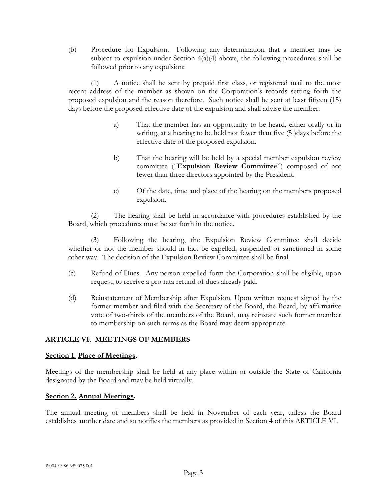(b) Procedure for Expulsion. Following any determination that a member may be subject to expulsion under Section  $4(a)(4)$  above, the following procedures shall be followed prior to any expulsion:

(1) A notice shall be sent by prepaid first class, or registered mail to the most recent address of the member as shown on the Corporation's records setting forth the proposed expulsion and the reason therefore. Such notice shall be sent at least fifteen (15) days before the proposed effective date of the expulsion and shall advise the member:

- a) That the member has an opportunity to be heard, either orally or in writing, at a hearing to be held not fewer than five (5) days before the effective date of the proposed expulsion.
- b) That the hearing will be held by a special member expulsion review committee ("**Expulsion Review Committee**") composed of not fewer than three directors appointed by the President.
- c) Of the date, time and place of the hearing on the members proposed expulsion.

(2) The hearing shall be held in accordance with procedures established by the Board, which procedures must be set forth in the notice.

(3) Following the hearing, the Expulsion Review Committee shall decide whether or not the member should in fact be expelled, suspended or sanctioned in some other way. The decision of the Expulsion Review Committee shall be final.

- (c) Refund of Dues. Any person expelled form the Corporation shall be eligible, upon request, to receive a pro rata refund of dues already paid.
- (d) Reinstatement of Membership after Expulsion. Upon written request signed by the former member and filed with the Secretary of the Board, the Board, by affirmative vote of two-thirds of the members of the Board, may reinstate such former member to membership on such terms as the Board may deem appropriate.

# **ARTICLE VI. MEETINGS OF MEMBERS**

# **Section 1. Place of Meetings.**

Meetings of the membership shall be held at any place within or outside the State of California designated by the Board and may be held virtually.

# **Section 2. Annual Meetings.**

The annual meeting of members shall be held in November of each year, unless the Board establishes another date and so notifies the members as provided in Section 4 of this ARTICLE VI.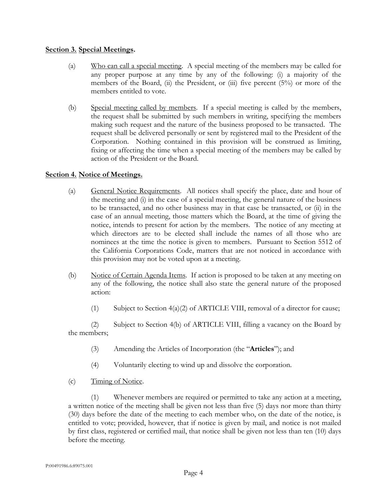# **Section 3. Special Meetings.**

- (a) Who can call a special meeting. A special meeting of the members may be called for any proper purpose at any time by any of the following: (i) a majority of the members of the Board, (ii) the President, or (iii) five percent (5%) or more of the members entitled to vote.
- (b) Special meeting called by members. If a special meeting is called by the members, the request shall be submitted by such members in writing, specifying the members making such request and the nature of the business proposed to be transacted. The request shall be delivered personally or sent by registered mail to the President of the Corporation. Nothing contained in this provision will be construed as limiting, fixing or affecting the time when a special meeting of the members may be called by action of the President or the Board.

# **Section 4. Notice of Meetings.**

- (a) General Notice Requirements. All notices shall specify the place, date and hour of the meeting and (i) in the case of a special meeting, the general nature of the business to be transacted, and no other business may in that case be transacted, or (ii) in the case of an annual meeting, those matters which the Board, at the time of giving the notice, intends to present for action by the members. The notice of any meeting at which directors are to be elected shall include the names of all those who are nominees at the time the notice is given to members. Pursuant to Section 5512 of the California Corporations Code, matters that are not noticed in accordance with this provision may not be voted upon at a meeting.
- (b) Notice of Certain Agenda Items. If action is proposed to be taken at any meeting on any of the following, the notice shall also state the general nature of the proposed action:
	- (1) Subject to Section  $4(a)(2)$  of ARTICLE VIII, removal of a director for cause;

(2) Subject to Section 4(b) of ARTICLE VIII, filling a vacancy on the Board by the members;

- (3) Amending the Articles of Incorporation (the "**Articles**"); and
- (4) Voluntarily electing to wind up and dissolve the corporation.
- (c) Timing of Notice.

(1) Whenever members are required or permitted to take any action at a meeting, a written notice of the meeting shall be given not less than five (5) days nor more than thirty (30) days before the date of the meeting to each member who, on the date of the notice, is entitled to vote; provided, however, that if notice is given by mail, and notice is not mailed by first class, registered or certified mail, that notice shall be given not less than ten (10) days before the meeting.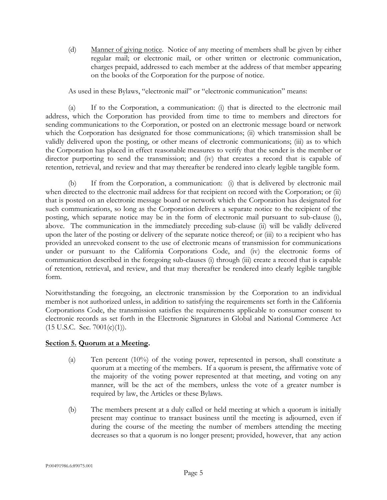(d) Manner of giving notice. Notice of any meeting of members shall be given by either regular mail; or electronic mail, or other written or electronic communication, charges prepaid, addressed to each member at the address of that member appearing on the books of the Corporation for the purpose of notice.

As used in these Bylaws, "electronic mail" or "electronic communication" means:

(a) If to the Corporation, a communication: (i) that is directed to the electronic mail address, which the Corporation has provided from time to time to members and directors for sending communications to the Corporation, or posted on an electronic message board or network which the Corporation has designated for those communications; (ii) which transmission shall be validly delivered upon the posting, or other means of electronic communications; (iii) as to which the Corporation has placed in effect reasonable measures to verify that the sender is the member or director purporting to send the transmission; and (iv) that creates a record that is capable of retention, retrieval, and review and that may thereafter be rendered into clearly legible tangible form.

(b) If from the Corporation, a communication: (i) that is delivered by electronic mail when directed to the electronic mail address for that recipient on record with the Corporation; or (ii) that is posted on an electronic message board or network which the Corporation has designated for such communications, so long as the Corporation delivers a separate notice to the recipient of the posting, which separate notice may be in the form of electronic mail pursuant to sub-clause (i), above. The communication in the immediately preceding sub-clause (ii) will be validly delivered upon the later of the posting or delivery of the separate notice thereof; or (iii) to a recipient who has provided an unrevoked consent to the use of electronic means of transmission for communications under or pursuant to the California Corporations Code, and (iv) the electronic forms of communication described in the foregoing sub-clauses (i) through (iii) create a record that is capable of retention, retrieval, and review, and that may thereafter be rendered into clearly legible tangible form.

Notwithstanding the foregoing, an electronic transmission by the Corporation to an individual member is not authorized unless, in addition to satisfying the requirements set forth in the California Corporations Code, the transmission satisfies the requirements applicable to consumer consent to electronic records as set forth in the Electronic Signatures in Global and National Commerce Act  $(15 \text{ U.S.C. Sec. } 7001(c)(1)).$ 

# **Section 5. Quorum at a Meeting.**

- (a) Ten percent (10%) of the voting power, represented in person, shall constitute a quorum at a meeting of the members. If a quorum is present, the affirmative vote of the majority of the voting power represented at that meeting, and voting on any manner, will be the act of the members, unless the vote of a greater number is required by law, the Articles or these Bylaws.
- (b) The members present at a duly called or held meeting at which a quorum is initially present may continue to transact business until the meeting is adjourned, even if during the course of the meeting the number of members attending the meeting decreases so that a quorum is no longer present; provided, however, that any action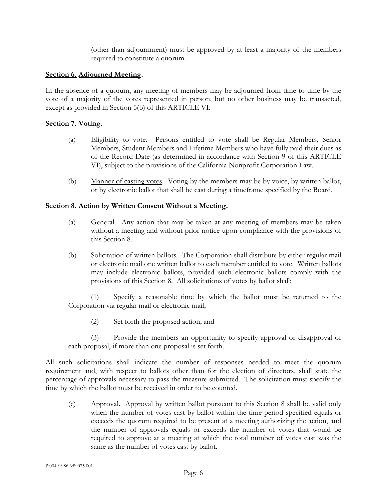(other than adjournment) must be approved by at least a majority of the members required to constitute a quorum.

# **Section 6. Adjourned Meeting.**

In the absence of a quorum, any meeting of members may be adjourned from time to time by the vote of a majority of the votes represented in person, but no other business may be transacted, except as provided in Section 5(b) of this ARTICLE VI.

# **Section 7. Voting.**

- (a) Eligibility to vote. Persons entitled to vote shall be Regular Members, Senior Members, Student Members and Lifetime Members who have fully paid their dues as of the Record Date (as determined in accordance with Section 9 of this ARTICLE VI), subject to the provisions of the California Nonprofit Corporation Law.
- (b) Manner of casting votes. Voting by the members may be by voice, by written ballot, or by electronic ballot that shall be cast during a timeframe specified by the Board.

# **Section 8. Action by Written Consent Without a Meeting.**

- (a) General. Any action that may be taken at any meeting of members may be taken without a meeting and without prior notice upon compliance with the provisions of this Section 8.
- (b) Solicitation of written ballots. The Corporation shall distribute by either regular mail or electronic mail one written ballot to each member entitled to vote. Written ballots may include electronic ballots, provided such electronic ballots comply with the provisions of this Section 8. All solicitations of votes by ballot shall:

(1) Specify a reasonable time by which the ballot must be returned to the Corporation via regular mail or electronic mail;

(2) Set forth the proposed action; and

(3) Provide the members an opportunity to specify approval or disapproval of each proposal, if more than one proposal is set forth.

All such solicitations shall indicate the number of responses needed to meet the quorum requirement and, with respect to ballots other than for the election of directors, shall state the percentage of approvals necessary to pass the measure submitted. The solicitation must specify the time by which the ballot must be received in order to be counted.

(c) Approval. Approval by written ballot pursuant to this Section 8 shall be valid only when the number of votes cast by ballot within the time period specified equals or exceeds the quorum required to be present at a meeting authorizing the action, and the number of approvals equals or exceeds the number of votes that would be required to approve at a meeting at which the total number of votes cast was the same as the number of votes cast by ballot.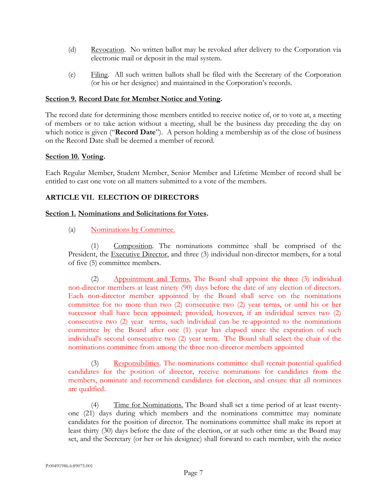- (d) Revocation. No written ballot may be revoked after delivery to the Corporation via electronic mail or deposit in the mail system.
- (e) Filing. All such written ballots shall be filed with the Secretary of the Corporation (or his or her designee) and maintained in the Corporation's records.

# **Section 9. Record Date for Member Notice and Voting.**

The record date for determining those members entitled to receive notice of, or to vote at, a meeting of members or to take action without a meeting, shall be the business day preceding the day on which notice is given ("**Record Date**"). A person holding a membership as of the close of business on the Record Date shall be deemed a member of record.

# **Section 10. Voting.**

Each Regular Member, Student Member, Senior Member and Lifetime Member of record shall be entitled to cast one vote on all matters submitted to a vote of the members.

# **ARTICLE VII. ELECTION OF DIRECTORS**

#### **Section 1. Nominations and Solicitations for Votes.**

# (a) Nominations by Committee.

(1) Composition. The nominations committee shall be comprised of the President, the Executive Director, and three (3) individual non-director members, for a total of five (5) committee members.

(2) Appointment and Terms. The Board shall appoint the three (3) individual non-director members at least ninety (90) days before the date of any election of directors. Each non-director member appointed by the Board shall serve on the nominations committee for no more than two (2) consecutive two (2) year terms, or until his or her successor shall have been appointed; provided, however, if an individual serves two (2) consecutive two (2) year terms, such individual can be re-appointed to the nominations committee by the Board after one (1) year has elapsed since the expiration of such individual's second consecutive two (2) year term. The Board shall select the chair of the nominations committee from among the three non-director members appointed

(3) Responsibilities. The nominations committee shall recruit potential qualified candidates for the position of director, receive nominations for candidates from the members, nominate and recommend candidates for election, and ensure that all nominees are qualified.

(4) Time for Nominations. The Board shall set a time period of at least twentyone (21) days during which members and the nominations committee may nominate candidates for the position of director. The nominations committee shall make its report at least thirty (30) days before the date of the election, or at such other time as the Board may set, and the Secretary (or her or his designee) shall forward to each member, with the notice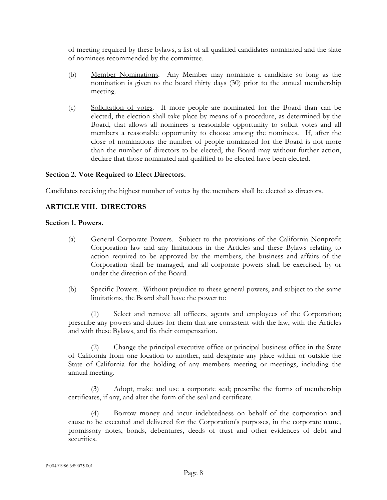of meeting required by these bylaws, a list of all qualified candidates nominated and the slate of nominees recommended by the committee.

- (b) Member Nominations. Any Member may nominate a candidate so long as the nomination is given to the board thirty days (30) prior to the annual membership meeting.
- (c) Solicitation of votes. If more people are nominated for the Board than can be elected, the election shall take place by means of a procedure, as determined by the Board, that allows all nominees a reasonable opportunity to solicit votes and all members a reasonable opportunity to choose among the nominees. If, after the close of nominations the number of people nominated for the Board is not more than the number of directors to be elected, the Board may without further action, declare that those nominated and qualified to be elected have been elected.

# **Section 2. Vote Required to Elect Directors.**

Candidates receiving the highest number of votes by the members shall be elected as directors.

# **ARTICLE VIII. DIRECTORS**

# **Section 1. Powers.**

- (a) General Corporate Powers. Subject to the provisions of the California Nonprofit Corporation law and any limitations in the Articles and these Bylaws relating to action required to be approved by the members, the business and affairs of the Corporation shall be managed, and all corporate powers shall be exercised, by or under the direction of the Board.
- (b) Specific Powers. Without prejudice to these general powers, and subject to the same limitations, the Board shall have the power to:

(1) Select and remove all officers, agents and employees of the Corporation; prescribe any powers and duties for them that are consistent with the law, with the Articles and with these Bylaws, and fix their compensation.

(2) Change the principal executive office or principal business office in the State of California from one location to another, and designate any place within or outside the State of California for the holding of any members meeting or meetings, including the annual meeting.

(3) Adopt, make and use a corporate seal; prescribe the forms of membership certificates, if any, and alter the form of the seal and certificate.

(4) Borrow money and incur indebtedness on behalf of the corporation and cause to be executed and delivered for the Corporation's purposes, in the corporate name, promissory notes, bonds, debentures, deeds of trust and other evidences of debt and securities.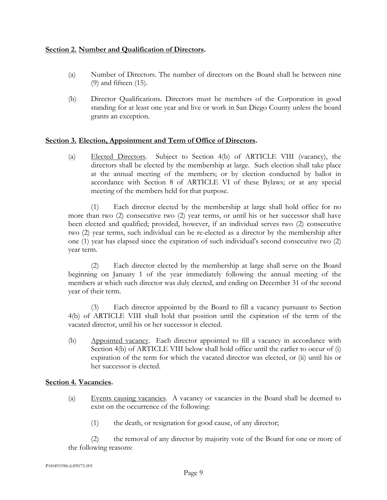# **Section 2. Number and Qualification of Directors.**

- (a) Number of Directors. The number of directors on the Board shall be between nine (9) and fifteen (15).
- (b) Director Qualifications. Directors must be members of the Corporation in good standing for at least one year and live or work in San Diego County unless the board grants an exception.

# **Section 3. Election, Appointment and Term of Office of Directors.**

(a) Elected Directors. Subject to Section 4(b) of ARTICLE VIII (vacancy), the directors shall be elected by the membership at large. Such election shall take place at the annual meeting of the members; or by election conducted by ballot in accordance with Section 8 of ARTICLE VI of these Bylaws; or at any special meeting of the members held for that purpose.

(1) Each director elected by the membership at large shall hold office for no more than two (2) consecutive two (2) year terms, or until his or her successor shall have been elected and qualified; provided, however, if an individual serves two (2) consecutive two (2) year terms, such individual can be re-elected as a director by the membership after one (1) year has elapsed since the expiration of such individual's second consecutive two (2) year term.

(2) Each director elected by the membership at large shall serve on the Board beginning on January 1 of the year immediately following the annual meeting of the members at which such director was duly elected, and ending on December 31 of the second year of their term.

(3) Each director appointed by the Board to fill a vacancy pursuant to Section 4(b) of ARTICLE VIII shall hold that position until the expiration of the term of the vacated director, until his or her successor is elected.

(b) Appointed vacancy. Each director appointed to fill a vacancy in accordance with Section 4(b) of ARTICLE VIII below shall hold office until the earlier to occur of (i) expiration of the term for which the vacated director was elected, or (ii) until his or her successor is elected.

# **Section 4. Vacancies.**

- (a) Events causing vacancies. A vacancy or vacancies in the Board shall be deemed to exist on the occurrence of the following:
	- (1) the death, or resignation for good cause, of any director;

(2) the removal of any director by majority vote of the Board for one or more of the following reasons: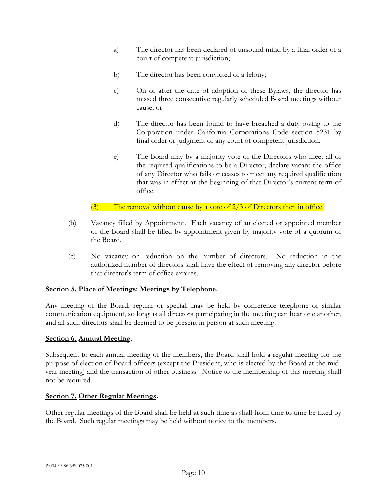- a) The director has been declared of unsound mind by a final order of a court of competent jurisdiction;
- b) The director has been convicted of a felony;
- c) On or after the date of adoption of these Bylaws, the director has missed three consecutive regularly scheduled Board meetings without cause; or
- d) The director has been found to have breached a duty owing to the Corporation under California Corporations Code section 5231 by final order or judgment of any court of competent jurisdiction.
- e) The Board may by a majority vote of the Directors who meet all of the required qualifications to be a Director, declare vacant the office of any Director who fails or ceases to meet any required qualification that was in effect at the beginning of that Director's current term of office.
- (3) The removal without cause by a vote of  $2/3$  of Directors then in office.
- (b) Vacancy filled by Appointment. Each vacancy of an elected or appointed member of the Board shall be filled by appointment given by majority vote of a quorum of the Board.
- (c) No vacancy on reduction on the number of directors. No reduction in the authorized number of directors shall have the effect of removing any director before that director's term of office expires.

# **Section 5. Place of Meetings: Meetings by Telephone.**

Any meeting of the Board, regular or special, may be held by conference telephone or similar communication equipment, so long as all directors participating in the meeting can hear one another, and all such directors shall be deemed to be present in person at such meeting.

#### **Section 6. Annual Meeting.**

Subsequent to each annual meeting of the members, the Board shall hold a regular meeting for the purpose of election of Board officers (except the President, who is elected by the Board at the midyear meeting) and the transaction of other business. Notice to the membership of this meeting shall not be required.

#### **Section 7. Other Regular Meetings.**

Other regular meetings of the Board shall be held at such time as shall from time to time be fixed by the Board. Such regular meetings may be held without notice to the members.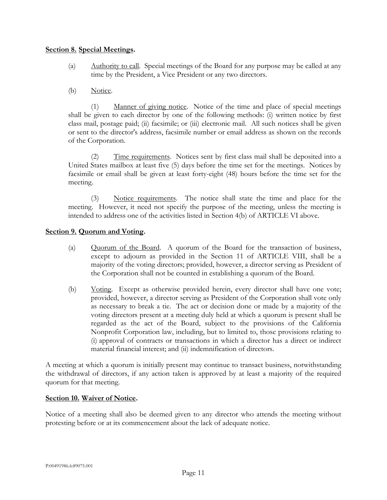# **Section 8. Special Meetings.**

- (a) Authority to call. Special meetings of the Board for any purpose may be called at any time by the President, a Vice President or any two directors.
- (b) Notice.

(1) Manner of giving notice. Notice of the time and place of special meetings shall be given to each director by one of the following methods: (i) written notice by first class mail, postage paid; (ii) facsimile; or (iii) electronic mail. All such notices shall be given or sent to the director's address, facsimile number or email address as shown on the records of the Corporation.

(2) Time requirements. Notices sent by first class mail shall be deposited into a United States mailbox at least five (5) days before the time set for the meetings. Notices by facsimile or email shall be given at least forty-eight (48) hours before the time set for the meeting.

(3) Notice requirements. The notice shall state the time and place for the meeting. However, it need not specify the purpose of the meeting, unless the meeting is intended to address one of the activities listed in Section 4(b) of ARTICLE VI above.

# **Section 9. Quorum and Voting.**

- (a) Quorum of the Board. A quorum of the Board for the transaction of business, except to adjourn as provided in the Section 11 of ARTICLE VIII, shall be a majority of the voting directors; provided, however, a director serving as President of the Corporation shall not be counted in establishing a quorum of the Board.
- (b) Voting. Except as otherwise provided herein, every director shall have one vote; provided, however, a director serving as President of the Corporation shall vote only as necessary to break a tie. The act or decision done or made by a majority of the voting directors present at a meeting duly held at which a quorum is present shall be regarded as the act of the Board, subject to the provisions of the California Nonprofit Corporation law, including, but to limited to, those provisions relating to (i) approval of contracts or transactions in which a director has a direct or indirect material financial interest; and (ii) indemnification of directors.

A meeting at which a quorum is initially present may continue to transact business, notwithstanding the withdrawal of directors, if any action taken is approved by at least a majority of the required quorum for that meeting.

#### **Section 10. Waiver of Notice.**

Notice of a meeting shall also be deemed given to any director who attends the meeting without protesting before or at its commencement about the lack of adequate notice.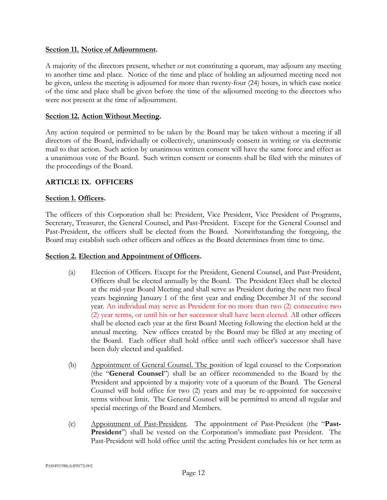# **Section 11. Notice of Adjournment.**

A majority of the directors present, whether or not constituting a quorum, may adjourn any meeting to another time and place. Notice of the time and place of holding an adjourned meeting need not be given, unless the meeting is adjourned for more than twenty-four (24) hours, in which case notice of the time and place shall be given before the time of the adjourned meeting to the directors who were not present at the time of adjournment.

# **Section 12. Action Without Meeting.**

Any action required or permitted to be taken by the Board may be taken without a meeting if all directors of the Board, individually or collectively, unanimously consent in writing or via electronic mail to that action. Such action by unanimous written consent will have the same force and effect as a unanimous vote of the Board. Such written consent or consents shall be filed with the minutes of the proceedings of the Board.

# **ARTICLE IX. OFFICERS**

# **Section 1. Officers.**

The officers of this Corporation shall be: President, Vice President, Vice President of Programs, Secretary, Treasurer, the General Counsel, and Past-President. Except for the General Counsel and Past-President, the officers shall be elected from the Board. Notwithstanding the foregoing, the Board may establish such other officers and offices as the Board determines from time to time.

#### **Section 2. Election and Appointment of Officers.**

- (a) Election of Officers. Except for the President, General Counsel, and Past-President, Officers shall be elected annually by the Board. The President Elect shall be elected at the mid-year Board Meeting and shall serve as President during the next two fiscal years beginning January 1 of the first year and ending December 31 of the second year. An individual may serve as President for no more than two (2) consecutive two (2) year terms, or until his or her successor shall have been elected. All other officers shall be elected each year at the first Board Meeting following the election held at the annual meeting. New offices created by the Board may be filled at any meeting of the Board. Each officer shall hold office until such officer's successor shall have been duly elected and qualified.
- (b) Appointment of General Counsel. The position of legal counsel to the Corporation (the "**General Counsel**") shall be an officer recommended to the Board by the President and appointed by a majority vote of a quorum of the Board. The General Counsel will hold office for two (2) years and may be re-appointed for successive terms without limit. The General Counsel will be permitted to attend all regular and special meetings of the Board and Members.
- (c) Appointment of Past-President. The appointment of Past-President (the "**Past-President**") shall be vested on the Corporation's immediate past President. The Past-President will hold office until the acting President concludes his or her term as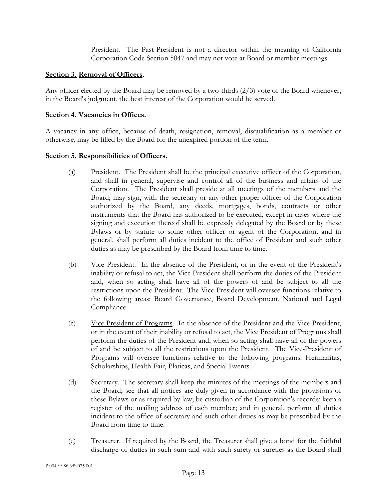President. The Past-President is not a director within the meaning of California Corporation Code Section 5047 and may not vote at Board or member meetings.

# **Section 3. Removal of Officers.**

Any officer elected by the Board may be removed by a two-thirds (2/3) vote of the Board whenever, in the Board's judgment, the best interest of the Corporation would be served.

#### **Section 4. Vacancies in Offices.**

A vacancy in any office, because of death, resignation, removal, disqualification as a member or otherwise, may be filled by the Board for the unexpired portion of the term.

# **Section 5. Responsibilities of Officers.**

- (a) President. The President shall be the principal executive officer of the Corporation, and shall in general, supervise and control all of the business and affairs of the Corporation. The President shall preside at all meetings of the members and the Board; may sign, with the secretary or any other proper officer of the Corporation authorized by the Board, any deeds, mortgages, bonds, contracts or other instruments that the Board has authorized to be executed, except in cases where the signing and execution thereof shall be expressly delegated by the Board or by these Bylaws or by statute to some other officer or agent of the Corporation; and in general, shall perform all duties incident to the office of President and such other duties as may be prescribed by the Board from time to time.
- (b) Vice President. In the absence of the President, or in the event of the President's inability or refusal to act, the Vice President shall perform the duties of the President and, when so acting shall have all of the powers of and be subject to all the restrictions upon the President. The Vice-President will oversee functions relative to the following areas: Board Governance, Board Development, National and Legal Compliance.
- (c) Vice President of Programs. In the absence of the President and the Vice President, or in the event of their inability or refusal to act, the Vice President of Programs shall perform the duties of the President and, when so acting shall have all of the powers of and be subject to all the restrictions upon the President. The Vice-President of Programs will oversee functions relative to the following programs: Hermanitas, Scholarships, Health Fair, Platicas, and Special Events.
- (d) Secretary. The secretary shall keep the minutes of the meetings of the members and the Board; see that all notices are duly given in accordance with the provisions of these Bylaws or as required by law; be custodian of the Corporation's records; keep a register of the mailing address of each member; and in general, perform all duties incident to the office of secretary and such other duties as may be prescribed by the Board from time to time.
- (e) Treasurer. If required by the Board, the Treasurer shall give a bond for the faithful discharge of duties in such sum and with such surety or sureties as the Board shall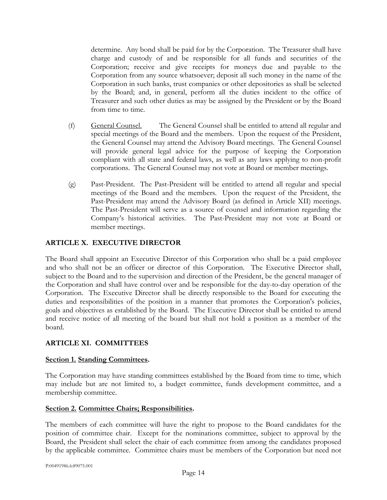determine. Any bond shall be paid for by the Corporation. The Treasurer shall have charge and custody of and be responsible for all funds and securities of the Corporation; receive and give receipts for moneys due and payable to the Corporation from any source whatsoever; deposit all such money in the name of the Corporation in such banks, trust companies or other depositories as shall be selected by the Board; and, in general, perform all the duties incident to the office of Treasurer and such other duties as may be assigned by the President or by the Board from time to time.

- (f) General Counsel. The General Counsel shall be entitled to attend all regular and special meetings of the Board and the members. Upon the request of the President, the General Counsel may attend the Advisory Board meetings. The General Counsel will provide general legal advice for the purpose of keeping the Corporation compliant with all state and federal laws, as well as any laws applying to non-profit corporations. The General Counsel may not vote at Board or member meetings.
- (g) Past-President. The Past-President will be entitled to attend all regular and special meetings of the Board and the members. Upon the request of the President, the Past-President may attend the Advisory Board (as defined in Article XII) meetings. The Past-President will serve as a source of counsel and information regarding the Company's historical activities. The Past-President may not vote at Board or member meetings.

# **ARTICLE X. EXECUTIVE DIRECTOR**

The Board shall appoint an Executive Director of this Corporation who shall be a paid employee and who shall not be an officer or director of this Corporation. The Executive Director shall, subject to the Board and to the supervision and direction of the President, be the general manager of the Corporation and shall have control over and be responsible for the day-to-day operation of the Corporation. The Executive Director shall be directly responsible to the Board for executing the duties and responsibilities of the position in a manner that promotes the Corporation's policies, goals and objectives as established by the Board. The Executive Director shall be entitled to attend and receive notice of all meeting of the board but shall not hold a position as a member of the board.

# **ARTICLE XI. COMMITTEES**

# **Section 1. Standing Committees.**

The Corporation may have standing committees established by the Board from time to time, which may include but are not limited to, a budget committee, funds development committee, and a membership committee.

# **Section 2. Committee Chairs; Responsibilities.**

The members of each committee will have the right to propose to the Board candidates for the position of committee chair. Except for the nominations committee, subject to approval by the Board, the President shall select the chair of each committee from among the candidates proposed by the applicable committee. Committee chairs must be members of the Corporation but need not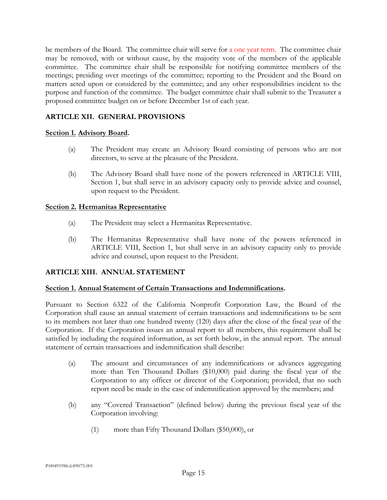be members of the Board. The committee chair will serve for a one year term. The committee chair may be removed, with or without cause, by the majority vote of the members of the applicable committee. The committee chair shall be responsible for notifying committee members of the meetings; presiding over meetings of the committee; reporting to the President and the Board on matters acted upon or considered by the committee; and any other responsibilities incident to the purpose and function of the committee. The budget committee chair shall submit to the Treasurer a proposed committee budget on or before December 1st of each year.

# **ARTICLE XII. GENERAL PROVISIONS**

# **Section 1. Advisory Board.**

- (a) The President may create an Advisory Board consisting of persons who are not directors, to serve at the pleasure of the President.
- (b) The Advisory Board shall have none of the powers referenced in ARTICLE VIII, Section 1, but shall serve in an advisory capacity only to provide advice and counsel, upon request to the President.

# **Section 2. Hermanitas Representative**

- (a) The President may select a Hermanitas Representative.
- (b) The Hermanitas Representative shall have none of the powers referenced in ARTICLE VIII, Section 1, but shall serve in an advisory capacity only to provide advice and counsel, upon request to the President.

# **ARTICLE XIII. ANNUAL STATEMENT**

#### **Section 1. Annual Statement of Certain Transactions and Indemnifications.**

Pursuant to Section 6322 of the California Nonprofit Corporation Law, the Board of the Corporation shall cause an annual statement of certain transactions and indemnifications to be sent to its members not later than one hundred twenty (120) days after the close of the fiscal year of the Corporation. If the Corporation issues an annual report to all members, this requirement shall be satisfied by including the required information, as set forth below, in the annual report. The annual statement of certain transactions and indemnification shall describe:

- (a) The amount and circumstances of any indemnifications or advances aggregating more than Ten Thousand Dollars (\$10,000) paid during the fiscal year of the Corporation to any officer or director of the Corporation; provided, that no such report need be made in the case of indemnification approved by the members; and
- (b) any "Covered Transaction" (defined below) during the previous fiscal year of the Corporation involving:
	- (1) more than Fifty Thousand Dollars (\$50,000), or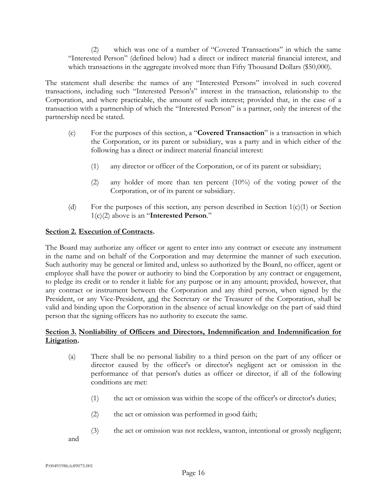(2) which was one of a number of "Covered Transactions" in which the same "Interested Person" (defined below) had a direct or indirect material financial interest, and which transactions in the aggregate involved more than Fifty Thousand Dollars (\$50,000).

The statement shall describe the names of any "Interested Persons" involved in such covered transactions, including such "Interested Person's" interest in the transaction, relationship to the Corporation, and where practicable, the amount of such interest; provided that, in the case of a transaction with a partnership of which the "Interested Person" is a partner, only the interest of the partnership need be stated.

- (c) For the purposes of this section, a "**Covered Transaction**" is a transaction in which the Corporation, or its parent or subsidiary, was a party and in which either of the following has a direct or indirect material financial interest:
	- (1) any director or officer of the Corporation, or of its parent or subsidiary;
	- (2) any holder of more than ten percent (10%) of the voting power of the Corporation, or of its parent or subsidiary.
- (d) For the purposes of this section, any person described in Section  $1(c)(1)$  or Section 1(c)(2) above is an "**Interested Person**."

# **Section 2. Execution of Contracts.**

The Board may authorize any officer or agent to enter into any contract or execute any instrument in the name and on behalf of the Corporation and may determine the manner of such execution. Such authority may be general or limited and, unless so authorized by the Board, no officer, agent or employee shall have the power or authority to bind the Corporation by any contract or engagement, to pledge its credit or to render it liable for any purpose or in any amount; provided, however, that any contract or instrument between the Corporation and any third person, when signed by the President, or any Vice-President, and the Secretary or the Treasurer of the Corporation, shall be valid and binding upon the Corporation in the absence of actual knowledge on the part of said third person that the signing officers has no authority to execute the same.

# **Section 3. Nonliability of Officers and Directors, Indemnification and Indemnification for Litigation.**

- (a) There shall be no personal liability to a third person on the part of any officer or director caused by the officer's or director's negligent act or omission in the performance of that person's duties as officer or director, if all of the following conditions are met:
	- (1) the act or omission was within the scope of the officer's or director's duties;
	- (2) the act or omission was performed in good faith;
	- (3) the act or omission was not reckless, wanton, intentional or grossly negligent;

and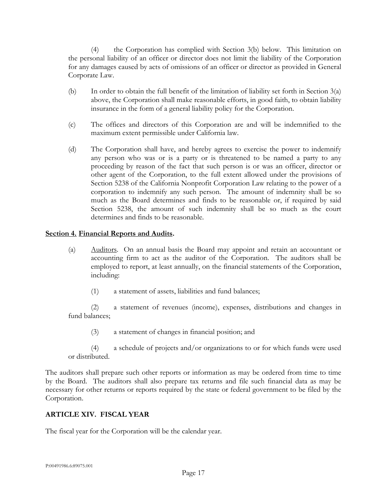(4) the Corporation has complied with Section 3(b) below. This limitation on the personal liability of an officer or director does not limit the liability of the Corporation for any damages caused by acts of omissions of an officer or director as provided in General Corporate Law.

- (b) In order to obtain the full benefit of the limitation of liability set forth in Section 3(a) above, the Corporation shall make reasonable efforts, in good faith, to obtain liability insurance in the form of a general liability policy for the Corporation.
- (c) The offices and directors of this Corporation are and will be indemnified to the maximum extent permissible under California law.
- (d) The Corporation shall have, and hereby agrees to exercise the power to indemnify any person who was or is a party or is threatened to be named a party to any proceeding by reason of the fact that such person is or was an officer, director or other agent of the Corporation, to the full extent allowed under the provisions of Section 5238 of the California Nonprofit Corporation Law relating to the power of a corporation to indemnify any such person. The amount of indemnity shall be so much as the Board determines and finds to be reasonable or, if required by said Section 5238, the amount of such indemnity shall be so much as the court determines and finds to be reasonable.

# **Section 4. Financial Reports and Audits.**

- (a) Auditors. On an annual basis the Board may appoint and retain an accountant or accounting firm to act as the auditor of the Corporation. The auditors shall be employed to report, at least annually, on the financial statements of the Corporation, including:
	- (1) a statement of assets, liabilities and fund balances;

(2) a statement of revenues (income), expenses, distributions and changes in fund balances;

(3) a statement of changes in financial position; and

(4) a schedule of projects and/or organizations to or for which funds were used or distributed.

The auditors shall prepare such other reports or information as may be ordered from time to time by the Board. The auditors shall also prepare tax returns and file such financial data as may be necessary for other returns or reports required by the state or federal government to be filed by the Corporation.

#### **ARTICLE XIV. FISCAL YEAR**

The fiscal year for the Corporation will be the calendar year.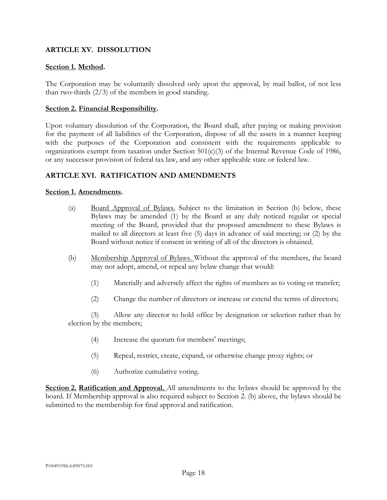# **ARTICLE XV. DISSOLUTION**

# **Section 1. Method.**

The Corporation may be voluntarily dissolved only upon the approval, by mail ballot, of not less than two-thirds  $(2/3)$  of the members in good standing.

# **Section 2. Financial Responsibility.**

Upon voluntary dissolution of the Corporation, the Board shall, after paying or making provision for the payment of all liabilities of the Corporation, dispose of all the assets in a manner keeping with the purposes of the Corporation and consistent with the requirements applicable to organizations exempt from taxation under Section 501(c)(3) of the Internal Revenue Code of 1986, or any successor provision of federal tax law, and any other applicable state or federal law.

# **ARTICLE XVI. RATIFICATION AND AMENDMENTS**

#### **Section 1. Amendments.**

- (a) Board Approval of Bylaws. Subject to the limitation in Section (b) below, these Bylaws may be amended (1) by the Board at any duly noticed regular or special meeting of the Board, provided that the proposed amendment to these Bylaws is mailed to all directors at least five (5) days in advance of said meeting; or (2) by the Board without notice if consent in writing of all of the directors is obtained.
- (b) Membership Approval of Bylaws. Without the approval of the members, the board may not adopt, amend, or repeal any bylaw change that would:
	- (1) Materially and adversely affect the rights of members as to voting or transfer;
	- (2) Change the number of directors or increase or extend the terms of directors;

(3) Allow any director to hold office by designation or selection rather than by election by the members;

- (4) Increase the quorum for members' meetings;
- (5) Repeal, restrict, create, expand, or otherwise change proxy rights; or
- (6) Authorize cumulative voting.

**Section 2. Ratification and Approval.** All amendments to the bylaws should be approved by the board. If Membership approval is also required subject to Section 2. (b) above, the bylaws should be submitted to the membership for final approval and ratification.